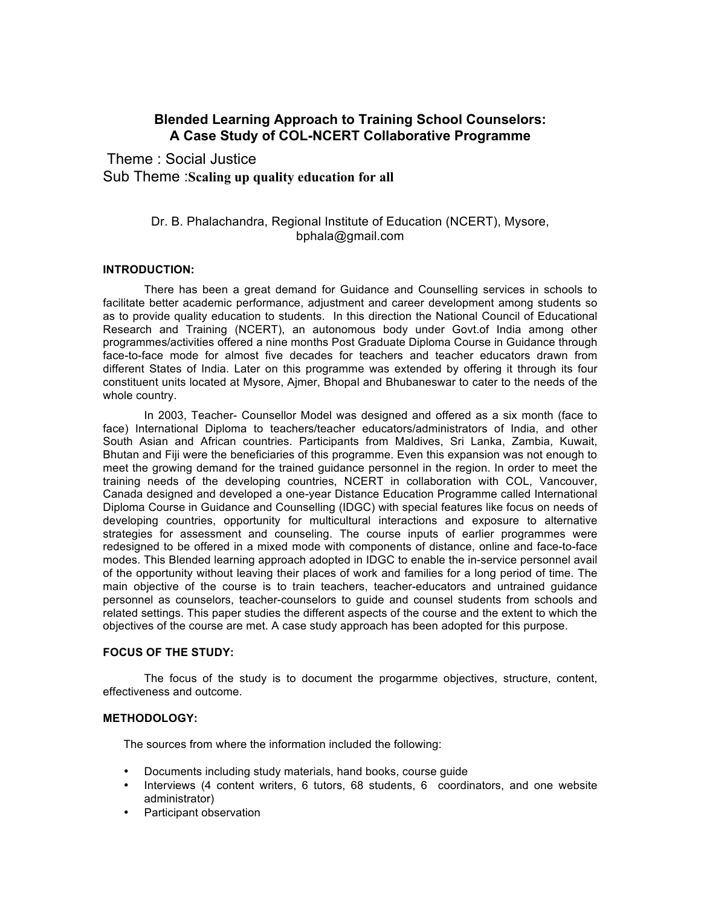# **Blended Learning Approach to Training School Counselors: A Case Study of COL-NCERT Collaborative Programme**

Theme : Social Justice Sub Theme :**Scaling up quality education for all**

# Dr. B. Phalachandra, Regional Institute of Education (NCERT), Mysore, bphala@gmail.com

# **INTRODUCTION:**

There has been a great demand for Guidance and Counselling services in schools to facilitate better academic performance, adjustment and career development among students so as to provide quality education to students. In this direction the National Council of Educational Research and Training (NCERT), an autonomous body under Govt.of India among other programmes/activities offered a nine months Post Graduate Diploma Course in Guidance through face-to-face mode for almost five decades for teachers and teacher educators drawn from different States of India. Later on this programme was extended by offering it through its four constituent units located at Mysore, Ajmer, Bhopal and Bhubaneswar to cater to the needs of the whole country.

In 2003, Teacher- Counsellor Model was designed and offered as a six month (face to face) International Diploma to teachers/teacher educators/administrators of India, and other South Asian and African countries. Participants from Maldives, Sri Lanka, Zambia, Kuwait, Bhutan and Fiji were the beneficiaries of this programme. Even this expansion was not enough to meet the growing demand for the trained guidance personnel in the region. In order to meet the training needs of the developing countries, NCERT in collaboration with COL, Vancouver, Canada designed and developed a one-year Distance Education Programme called International Diploma Course in Guidance and Counselling (IDGC) with special features like focus on needs of developing countries, opportunity for multicultural interactions and exposure to alternative strategies for assessment and counseling. The course inputs of earlier programmes were redesigned to be offered in a mixed mode with components of distance, online and face-to-face modes. This Blended learning approach adopted in IDGC to enable the in-service personnel avail of the opportunity without leaving their places of work and families for a long period of time. The main objective of the course is to train teachers, teacher-educators and untrained guidance personnel as counselors, teacher-counselors to guide and counsel students from schools and related settings. This paper studies the different aspects of the course and the extent to which the objectives of the course are met. A case study approach has been adopted for this purpose.

# **FOCUS OF THE STUDY:**

The focus of the study is to document the progarmme objectives, structure, content, effectiveness and outcome.

# **METHODOLOGY:**

The sources from where the information included the following:

- Documents including study materials, hand books, course guide
- Interviews (4 content writers, 6 tutors, 68 students, 6 coordinators, and one website administrator)
- Participant observation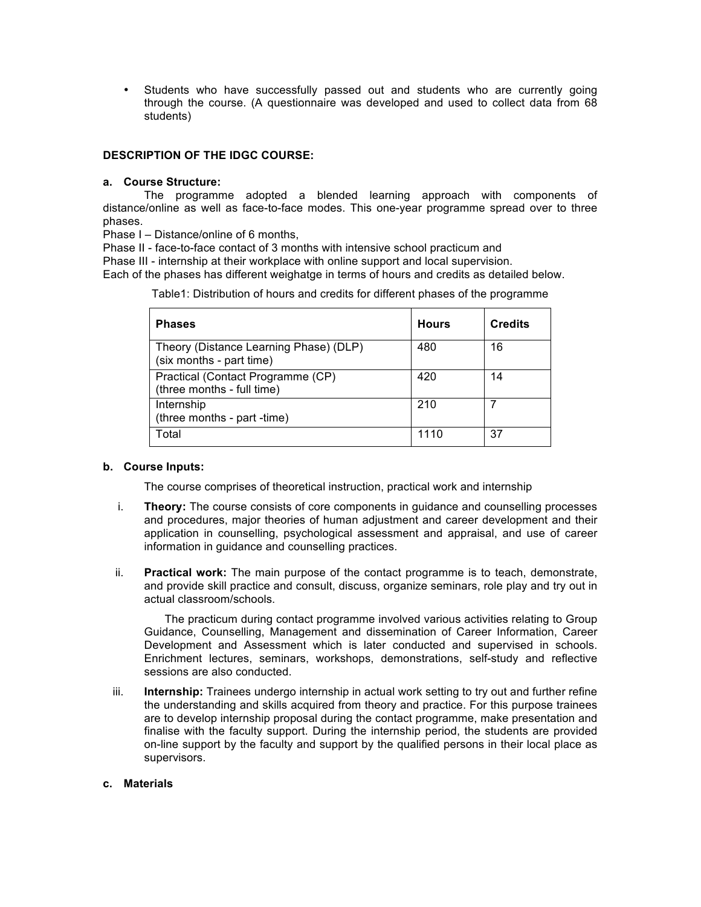Students who have successfully passed out and students who are currently going through the course. (A questionnaire was developed and used to collect data from 68 students)

# **DESCRIPTION OF THE IDGC COURSE:**

# **a. Course Structure:**

The programme adopted a blended learning approach with components of distance/online as well as face-to-face modes. This one-year programme spread over to three phases.

Phase I – Distance/online of 6 months,

(three months - full time)

(three months - part -time)

Phase II - face-to-face contact of 3 months with intensive school practicum and

Phase III - internship at their workplace with online support and local supervision.

Each of the phases has different weighatge in terms of hours and credits as detailed below.

| <b>Phases</b>                                                      | <b>Hours</b> | <b>Credits</b> |
|--------------------------------------------------------------------|--------------|----------------|
| Theory (Distance Learning Phase) (DLP)<br>(six months - part time) | 480          | 16             |
| Practical (Contact Programme (CP)                                  | 420          | 14             |

210 7

Table1: Distribution of hours and credits for different phases of the programme

# **b. Course Inputs:**

**Internship** 

The course comprises of theoretical instruction, practical work and internship

Total 1110 | 37

- i. **Theory:** The course consists of core components in guidance and counselling processes and procedures, major theories of human adjustment and career development and their application in counselling, psychological assessment and appraisal, and use of career information in guidance and counselling practices.
- ii. **Practical work:** The main purpose of the contact programme is to teach, demonstrate, and provide skill practice and consult, discuss, organize seminars, role play and try out in actual classroom/schools.

The practicum during contact programme involved various activities relating to Group Guidance, Counselling, Management and dissemination of Career Information, Career Development and Assessment which is later conducted and supervised in schools. Enrichment lectures, seminars, workshops, demonstrations, self-study and reflective sessions are also conducted.

iii. **Internship:** Trainees undergo internship in actual work setting to try out and further refine the understanding and skills acquired from theory and practice. For this purpose trainees are to develop internship proposal during the contact programme, make presentation and finalise with the faculty support. During the internship period, the students are provided on-line support by the faculty and support by the qualified persons in their local place as supervisors.

# **c. Materials**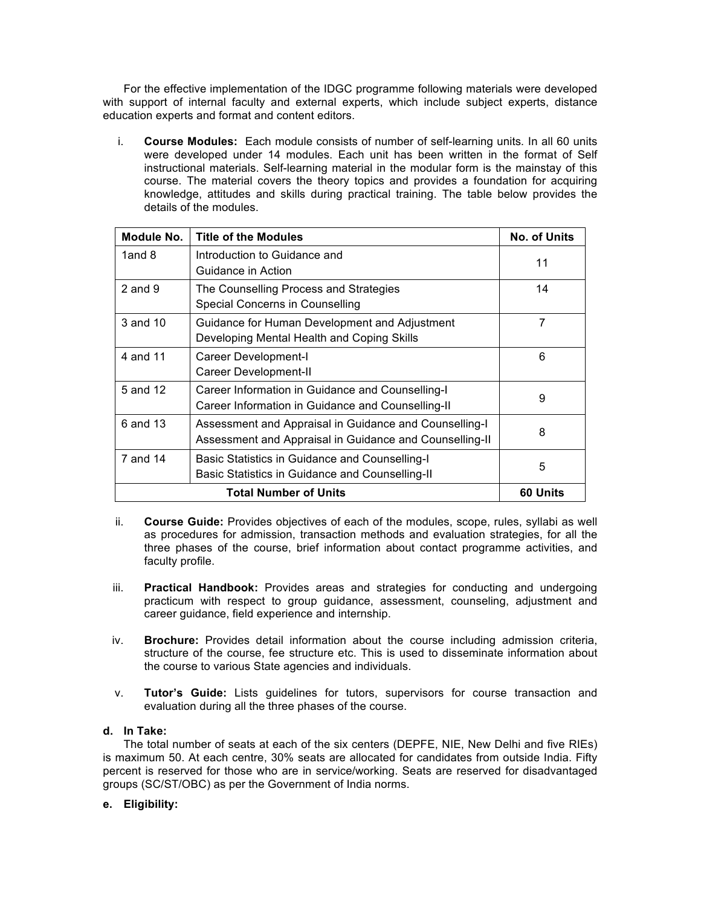For the effective implementation of the IDGC programme following materials were developed with support of internal faculty and external experts, which include subject experts, distance education experts and format and content editors.

i. **Course Modules:** Each module consists of number of self-learning units*.* In all 60 units were developed under 14 modules. Each unit has been written in the format of Self instructional materials. Self-learning material in the modular form is the mainstay of this course. The material covers the theory topics and provides a foundation for acquiring knowledge, attitudes and skills during practical training. The table below provides the details of the modules.

| Module No.  | <b>Title of the Modules</b>                                                                           | <b>No. of Units</b> |  |  |  |
|-------------|-------------------------------------------------------------------------------------------------------|---------------------|--|--|--|
| 1and 8      | Introduction to Guidance and<br>Guidance in Action                                                    | 11                  |  |  |  |
| $2$ and $9$ | The Counselling Process and Strategies<br>Special Concerns in Counselling                             | 14                  |  |  |  |
| 3 and 10    | Guidance for Human Development and Adjustment<br>Developing Mental Health and Coping Skills           | 7                   |  |  |  |
| 4 and 11    | Career Development-I<br>Career Development-II                                                         | 6                   |  |  |  |
| 5 and 12    | Career Information in Guidance and Counselling-I<br>Career Information in Guidance and Counselling-II | 9                   |  |  |  |
| 6 and 13    | 8                                                                                                     |                     |  |  |  |
| 7 and 14    | Basic Statistics in Guidance and Counselling-I<br>Basic Statistics in Guidance and Counselling-II     |                     |  |  |  |
|             | 60 Units                                                                                              |                     |  |  |  |

- ii. **Course Guide:** Provides objectives of each of the modules, scope, rules, syllabi as well as procedures for admission, transaction methods and evaluation strategies, for all the three phases of the course, brief information about contact programme activities, and faculty profile.
- iii. **Practical Handbook:** Provides areas and strategies for conducting and undergoing practicum with respect to group guidance, assessment, counseling, adjustment and career guidance, field experience and internship.
- iv. **Brochure:** Provides detail information about the course including admission criteria, structure of the course, fee structure etc. This is used to disseminate information about the course to various State agencies and individuals.
- v. **Tutor's Guide:** Lists guidelines for tutors, supervisors for course transaction and evaluation during all the three phases of the course.

# **d. In Take:**

The total number of seats at each of the six centers (DEPFE, NIE, New Delhi and five RIEs) is maximum 50. At each centre, 30% seats are allocated for candidates from outside India. Fifty percent is reserved for those who are in service/working. Seats are reserved for disadvantaged groups (SC/ST/OBC) as per the Government of India norms.

# **e. Eligibility:**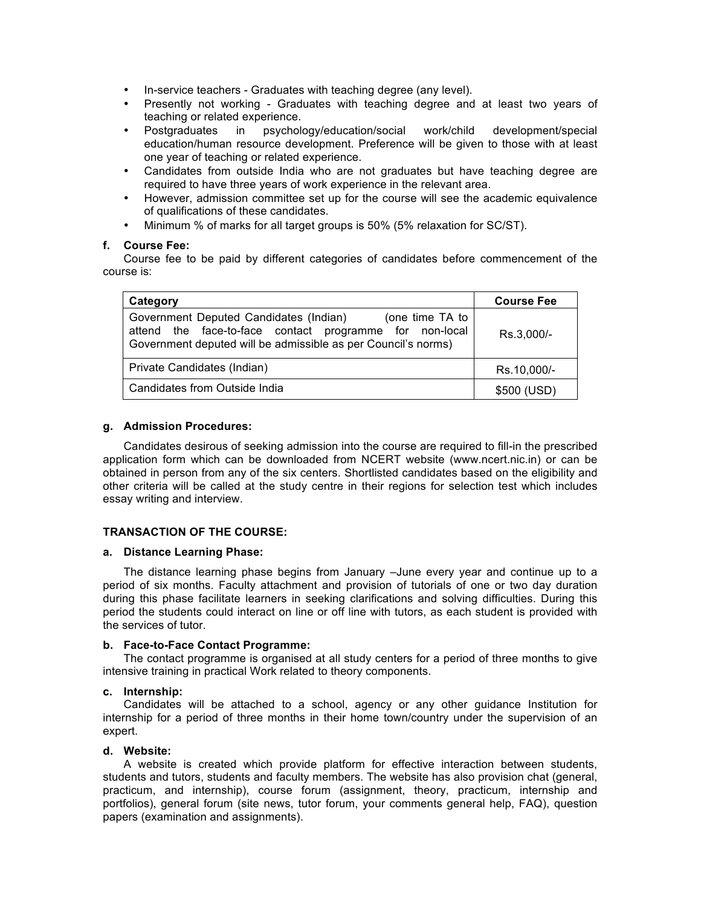- In-service teachers Graduates with teaching degree (any level).
- Presently not working Graduates with teaching degree and at least two years of teaching or related experience.
- Postgraduates in psychology/education/social work/child development/special education/human resource development. Preference will be given to those with at least one year of teaching or related experience.
- Candidates from outside India who are not graduates but have teaching degree are required to have three years of work experience in the relevant area.
- However, admission committee set up for the course will see the academic equivalence of qualifications of these candidates.
- Minimum % of marks for all target groups is 50% (5% relaxation for SC/ST).

### **f. Course Fee:**

Course fee to be paid by different categories of candidates before commencement of the course is:

| Category                                                                                                                                                                              | <b>Course Fee</b> |  |
|---------------------------------------------------------------------------------------------------------------------------------------------------------------------------------------|-------------------|--|
| Government Deputed Candidates (Indian)<br>(one time TA to<br>attend the face-to-face contact programme for non-local<br>Government deputed will be admissible as per Council's norms) | Rs.3,000/-        |  |
| Private Candidates (Indian)                                                                                                                                                           | Rs.10,000/-       |  |
| Candidates from Outside India                                                                                                                                                         | \$500 (USD)       |  |

### **g. Admission Procedures:**

Candidates desirous of seeking admission into the course are required to fill-in the prescribed application form which can be downloaded from NCERT website (www.ncert.nic.in) or can be obtained in person from any of the six centers. Shortlisted candidates based on the eligibility and other criteria will be called at the study centre in their regions for selection test which includes essay writing and interview.

# **TRANSACTION OF THE COURSE:**

#### **a. Distance Learning Phase:**

The distance learning phase begins from January –June every year and continue up to a period of six months. Faculty attachment and provision of tutorials of one or two day duration during this phase facilitate learners in seeking clarifications and solving difficulties. During this period the students could interact on line or off line with tutors, as each student is provided with the services of tutor.

#### **b. Face-to-Face Contact Programme:**

The contact programme is organised at all study centers for a period of three months to give intensive training in practical Work related to theory components.

#### **c. Internship:**

Candidates will be attached to a school, agency or any other guidance Institution for internship for a period of three months in their home town/country under the supervision of an expert.

#### **d. Website:**

A website is created which provide platform for effective interaction between students, students and tutors, students and faculty members. The website has also provision chat (general, practicum, and internship), course forum (assignment, theory, practicum, internship and portfolios), general forum (site news, tutor forum, your comments general help, FAQ), question papers (examination and assignments).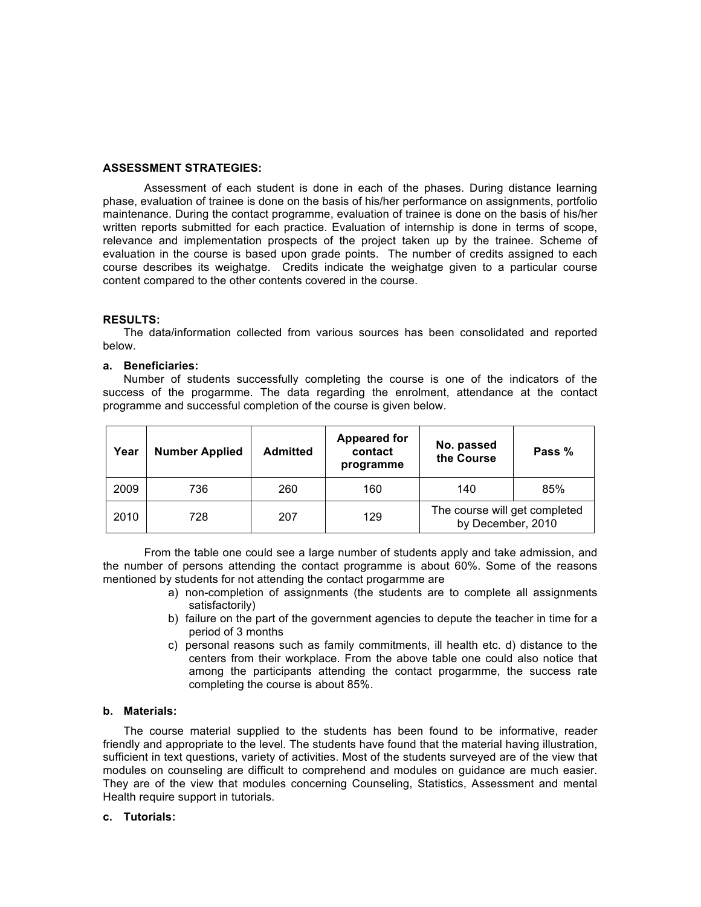#### **ASSESSMENT STRATEGIES:**

Assessment of each student is done in each of the phases. During distance learning phase, evaluation of trainee is done on the basis of his/her performance on assignments, portfolio maintenance. During the contact programme, evaluation of trainee is done on the basis of his/her written reports submitted for each practice. Evaluation of internship is done in terms of scope, relevance and implementation prospects of the project taken up by the trainee. Scheme of evaluation in the course is based upon grade points. The number of credits assigned to each course describes its weighatge. Credits indicate the weighatge given to a particular course content compared to the other contents covered in the course.

### **RESULTS:**

The data/information collected from various sources has been consolidated and reported below.

#### **a. Beneficiaries:**

Number of students successfully completing the course is one of the indicators of the success of the progarmme. The data regarding the enrolment, attendance at the contact programme and successful completion of the course is given below.

| Year | <b>Number Applied</b> | <b>Admitted</b> | <b>Appeared for</b><br>contact<br>programme | No. passed<br>the Course                           | Pass % |
|------|-----------------------|-----------------|---------------------------------------------|----------------------------------------------------|--------|
| 2009 | 736                   | 260             | 160                                         | 140                                                | 85%    |
| 2010 | 728                   | 207             | 129                                         | The course will get completed<br>by December, 2010 |        |

From the table one could see a large number of students apply and take admission, and the number of persons attending the contact programme is about 60%. Some of the reasons mentioned by students for not attending the contact progarmme are

- a) non-completion of assignments (the students are to complete all assignments satisfactorily)
- b) failure on the part of the government agencies to depute the teacher in time for a period of 3 months
- c) personal reasons such as family commitments, ill health etc. d) distance to the centers from their workplace. From the above table one could also notice that among the participants attending the contact progarmme, the success rate completing the course is about 85%.

# **b. Materials:**

The course material supplied to the students has been found to be informative, reader friendly and appropriate to the level. The students have found that the material having illustration, sufficient in text questions, variety of activities. Most of the students surveyed are of the view that modules on counseling are difficult to comprehend and modules on guidance are much easier. They are of the view that modules concerning Counseling, Statistics, Assessment and mental Health require support in tutorials.

#### **c. Tutorials:**